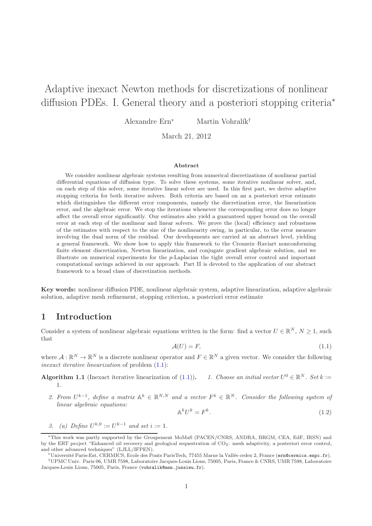# Adaptive inexact Newton methods for discretizations of nonlinear diffusion PDEs. I. General theory and a posteriori stopping criteria<sup>∗</sup>

Alexandre Ern<sup>∗</sup> Martin Vohralík<sup>†</sup>

March 21, 2012

#### Abstract

We consider nonlinear algebraic systems resulting from numerical discretizations of nonlinear partial differential equations of diffusion type. To solve these systems, some iterative nonlinear solver, and, on each step of this solver, some iterative linear solver are used. In this first part, we derive adaptive stopping criteria for both iterative solvers. Both criteria are based on an a posteriori error estimate which distinguishes the different error components, namely the discretization error, the linearization error, and the algebraic error. We stop the iterations whenever the corresponding error does no longer affect the overall error significantly. Our estimates also yield a guaranteed upper bound on the overall error at each step of the nonlinear and linear solvers. We prove the (local) efficiency and robustness of the estimates with respect to the size of the nonlinearity owing, in particular, to the error measure involving the dual norm of the residual. Our developments are carried at an abstract level, yielding a general framework. We show how to apply this framework to the Crouzeix–Raviart nonconforming finite element discretization, Newton linearization, and conjugate gradient algebraic solution, and we illustrate on numerical experiments for the p-Laplacian the tight overall error control and important computational savings achieved in our approach. Part II is devoted to the application of our abstract framework to a broad class of discretization methods.

Key words: nonlinear diffusion PDE, nonlinear algebraic system, adaptive linearization, adaptive algebraic solution, adaptive mesh refinement, stopping criterion, a posteriori error estimate

# 1 Introduction

Consider a system of nonlinear algebraic equations written in the form: find a vector  $U \in \mathbb{R}^N$ ,  $N \geq 1$ , such that

<span id="page-0-0"></span>
$$
\mathcal{A}(U) = F,\tag{1.1}
$$

where  $\mathcal{A}: \mathbb{R}^N \to \mathbb{R}^N$  is a discrete nonlinear operator and  $F \in \mathbb{R}^N$  a given vector. We consider the following inexact iterative linearization of problem [\(1.1\)](#page-0-0):

<span id="page-0-2"></span>**Algorithm 1.1** (Inexact iterative linearization of [\(1.1\)](#page-0-0)). 1. Choose an initial vector  $U^0 \in \mathbb{R}^N$ . Set  $k :=$ 1.

2. From  $U^{k-1}$ , define a matrix  $\mathbb{A}^k \in \mathbb{R}^{N,N}$  and a vector  $F^k \in \mathbb{R}^N$ . Consider the following system of linear algebraic equations:

<span id="page-0-1"></span>
$$
\mathbb{A}^k U^k = F^k. \tag{1.2}
$$

3. (a) Define  $U^{k,0} := U^{k-1}$  and set  $i := 1$ .

<sup>∗</sup>This work was partly supported by the Groupement MoMaS (PACEN/CNRS, ANDRA, BRGM, CEA, EdF, IRSN) and by the ERT project "Enhanced oil recovery and geological sequestration of CO2: mesh adaptivity, a posteriori error control, and other advanced techniques" (LJLL/IFPEN).

<sup>∗</sup>Universit´e Paris-Est, CERMICS, Ecole des Ponts ParisTech, 77455 Marne la Vall´ee cedex 2, France (ern@cermics.enpc.fr).

<sup>†</sup>UPMC Univ. Paris 06, UMR 7598, Laboratoire Jacques-Louis Lions, 75005, Paris, France & CNRS, UMR 7598, Laboratoire Jacques-Louis Lions, 75005, Paris, France (vohralik@ann.jussieu.fr).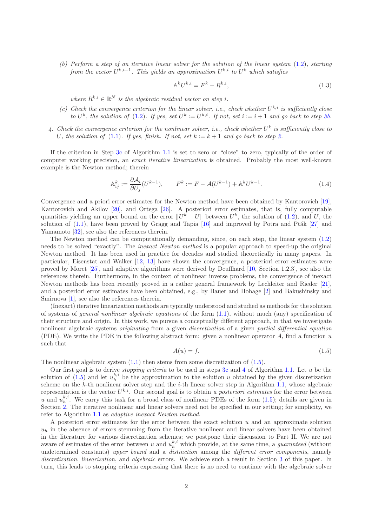<span id="page-1-0"></span>(b) Perform a step of an iterative linear solver for the solution of the linear system [\(1.2\)](#page-0-1), starting from the vector  $U^{k,i-1}$ . This yields an approximation  $U^{k,i}$  to  $U^k$  which satisfies

<span id="page-1-4"></span>
$$
\mathbb{A}^k U^{k,i} = F^k - R^{k,i},\tag{1.3}
$$

where  $R^{k,i} \in \mathbb{R}^N$  is the algebraic residual vector on step i.

- <span id="page-1-1"></span>(c) Check the convergence criterion for the linear solver, i.e., check whether  $U^{k,i}$  is sufficiently close to  $U^k$ , the solution of [\(1.2\)](#page-0-1). If yes, set  $U^k := U^{k,i}$ . If not, set  $i := i + 1$  and go back to step [3b.](#page-1-0)
- <span id="page-1-3"></span>4. Check the convergence criterion for the nonlinear solver, i.e., check whether  $U^k$  is sufficiently close to U, the solution of [\(1.1\)](#page-0-0). If yes, finish. If not, set  $k := k + 1$  and go back to step [2.](#page-0-2)

If the criterion in Step [3c](#page-1-1) of Algorithm 1.1 is set to zero or "close" to zero, typically of the order of computer working precision, an exact iterative linearization is obtained. Probably the most well-known example is the Newton method; therein

$$
\mathbb{A}_{ij}^k := \frac{\partial \mathcal{A}_i}{\partial U_j} (U^{k-1}), \qquad F^k := F - \mathcal{A}(U^{k-1}) + \mathbb{A}^k U^{k-1}.
$$
\n(1.4)

Convergence and a priori error estimates for the Newton method have been obtained by Kantorovich [\[19\]](#page-18-0), Kantorovich and Akilov [\[20\]](#page-18-1), and Ortega [\[26\]](#page-18-2). A posteriori error estimates, that is, fully computable quantities yielding an upper bound on the error  $||U^k - U||$  between  $U^k$ , the solution of [\(1.2\)](#page-0-1), and U, the solution of  $(1.1)$ , have been proved by Gragg and Tapia  $[16]$  and improved by Potra and Ptak  $[27]$  and Yamamoto [\[32\]](#page-19-0), see also the references therein.

The Newton method can be computationally demanding, since, on each step, the linear system [\(1.2\)](#page-0-1) needs to be solved "exactly". The inexact Newton method is a popular approach to speed-up the original Newton method. It has been used in practice for decades and studied theoretically in many papers. In particular, Eisenstat and Walker [\[12,](#page-18-5) [13\]](#page-18-6) have shown the convergence, a posteriori error estimates were proved by Moret [\[25\]](#page-18-7), and adaptive algorithms were derived by Deuflhard [\[10,](#page-18-8) Section 1.2.3], see also the references therein. Furthermore, in the context of nonlinear inverse problems, the convergence of inexact Newton methods has been recently proved in a rather general framework by Lechleiter and Rieder [\[21\]](#page-18-9), and a posteriori error estimates have been obtained, e.g., by Bauer and Hohage [\[2\]](#page-17-0) and Bakushinsky and Smirnova [\[1\]](#page-17-1), see also the references therein.

(Inexact) iterative linearization methods are typically understood and studied as methods for the solution of systems of general nonlinear algebraic equations of the form [\(1.1\)](#page-0-0), without much (any) specification of their structure and origin. In this work, we pursue a conceptually different approach, in that we investigate nonlinear algebraic systems *originating* from a given *discretization* of a given *partial differential equation* (PDE). We write the PDE in the following abstract form: given a nonlinear operator  $A$ , find a function  $u$ such that

<span id="page-1-2"></span>
$$
A(u) = f. \tag{1.5}
$$

The nonlinear algebraic system  $(1.1)$  then stems from some discretization of  $(1.5)$ .

Our first goal is to derive *stopping criteria* to be used in steps [3c](#page-1-1) and [4](#page-1-3) of Algorithm 1.1. Let u be the solution of [\(1.5\)](#page-1-2) and let  $u_h^{k,i}$  be the approximation to the solution u obtained by the given discretization scheme on the  $k$ -th nonlinear solver step and the  $i$ -th linear solver step in Algorithm 1.1, whose algebraic representation is the vector  $U^{k,i}$ . Our second goal is to obtain a posteriori estimates for the error between u and  $u_h^{k,i}$ . We carry this task for a broad class of nonlinear PDEs of the form [\(1.5\)](#page-1-2); details are given in Section [2.](#page-2-0) The iterative nonlinear and linear solvers need not be specified in our setting; for simplicity, we refer to Algorithm 1.1 as adaptive inexact Newton method.

A posteriori error estimates for the error between the exact solution  $u$  and an approximate solution  $u<sub>h</sub>$  in the absence of errors stemming from the iterative nonlinear and linear solvers have been obtained in the literature for various discretization schemes; we postpone their discussion to Part II. We are not aware of estimates of the error between u and  $u_h^{k,i}$  which provide, at the same time, a *guaranteed* (without undetermined constants) upper bound and a distinction among the different error components, namely discretization, linearization, and algebraic errors. We achieve such a result in Section [3](#page-4-0) of this paper. In turn, this leads to stopping criteria expressing that there is no need to continue with the algebraic solver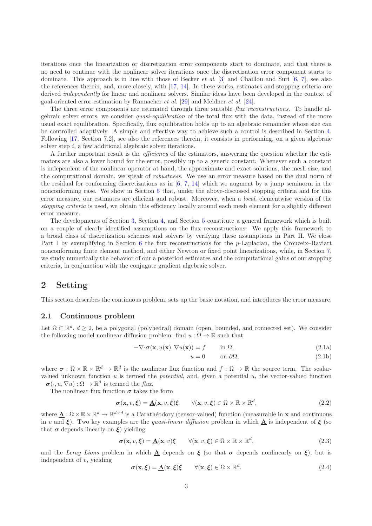iterations once the linearization or discretization error components start to dominate, and that there is no need to continue with the nonlinear solver iterations once the discretization error component starts to dominate. This approach is in line with those of Becker et al. [\[3\]](#page-17-2) and Chaillou and Suri [\[6,](#page-17-3) [7\]](#page-17-4), see also the references therein, and, more closely, with [\[17,](#page-18-10) [14\]](#page-18-11). In these works, estimates and stopping criteria are derived independently for linear and nonlinear solvers. Similar ideas have been developed in the context of goal-oriented error estimation by Rannacher et al. [\[29\]](#page-19-1) and Meidner et al. [\[24\]](#page-18-12).

The three error components are estimated through three suitable flux reconstructions. To handle algebraic solver errors, we consider quasi-equilibration of the total flux with the data, instead of the more usual exact equilibration. Specifically, flux equilibration holds up to an algebraic remainder whose size can be controlled adaptively. A simple and effective way to achieve such a control is described in Section [4.](#page-7-0) Following [\[17,](#page-18-10) Section 7.2], see also the references therein, it consists in performing, on a given algebraic solver step  $i$ , a few additional algebraic solver iterations.

A further important result is the efficiency of the estimators, answering the question whether the estimators are also a lower bound for the error, possibly up to a generic constant. Whenever such a constant is independent of the nonlinear operator at hand, the approximate and exact solutions, the mesh size, and the computational domain, we speak of robustness. We use an error measure based on the dual norm of the residual for conforming discretizations as in  $[6, 7, 14]$  $[6, 7, 14]$  $[6, 7, 14]$  $[6, 7, 14]$  which we augment by a jump seminorm in the nonconforming case. We show in Section [5](#page-7-1) that, under the above-discussed stopping criteria and for this error measure, our estimates are efficient and robust. Moreover, when a local, elementwise version of the stopping criteria is used, we obtain this efficiency locally around each mesh element for a slightly different error measure.

The developments of Section [3,](#page-4-0) Section [4,](#page-7-0) and Section [5](#page-7-1) constitute a general framework which is built on a couple of clearly identified assumptions on the flux reconstructions. We apply this framework to a broad class of discretization schemes and solvers by verifying these assumptions in Part II. We close Part I by exemplifying in Section [6](#page-9-0) the flux reconstructions for the p-Laplacian, the Crouzeix–Raviart nonconforming finite element method, and either Newton or fixed point linearizations, while, in Section [7,](#page-10-0) we study numerically the behavior of our a posteriori estimates and the computational gains of our stopping criteria, in conjunction with the conjugate gradient algebraic solver.

# <span id="page-2-0"></span>2 Setting

This section describes the continuous problem, sets up the basic notation, and introduces the error measure.

#### 2.1 Continuous problem

Let  $\Omega \subset \mathbb{R}^d$ ,  $d \geq 2$ , be a polygonal (polyhedral) domain (open, bounded, and connected set). We consider the following model nonlinear diffusion problem: find  $u : \Omega \to \mathbb{R}$  such that

$$
-\nabla \cdot \boldsymbol{\sigma}(\mathbf{x}, u(\mathbf{x}), \nabla u(\mathbf{x})) = f \qquad \text{in } \Omega,
$$
\n(2.1a)

<span id="page-2-1"></span>
$$
u = 0 \qquad \text{on } \partial\Omega,\tag{2.1b}
$$

where  $\sigma : \Omega \times \mathbb{R} \times \mathbb{R}^d \to \mathbb{R}^d$  is the nonlinear flux function and  $f : \Omega \to \mathbb{R}$  the source term. The scalarvalued unknown function  $u$  is termed the *potential*, and, given a potential  $u$ , the vector-valued function  $-\boldsymbol{\sigma}(\cdot, u, \nabla u) : \Omega \to \mathbb{R}^d$  is termed the *flux*.

The nonlinear flux function  $\sigma$  takes the form

$$
\sigma(\mathbf{x}, v, \xi) = \underline{\mathbf{A}}(\mathbf{x}, v, \xi)\xi \qquad \forall (\mathbf{x}, v, \xi) \in \Omega \times \mathbb{R} \times \mathbb{R}^d,
$$
\n(2.2)

where  $\underline{\mathbf{A}} : \Omega \times \mathbb{R} \times \mathbb{R}^d \to \mathbb{R}^{d \times d}$  is a Carathéodory (tensor-valued) function (measurable in **x** and continuous in v and  $\xi$ ). Two key examples are the quasi-linear diffusion problem in which  $\underline{A}$  is independent of  $\xi$  (so that  $\sigma$  depends linearly on  $\xi$ ) yielding

$$
\sigma(\mathbf{x}, v, \xi) = \underline{\mathbf{A}}(\mathbf{x}, v)\xi \qquad \forall (\mathbf{x}, v, \xi) \in \Omega \times \mathbb{R} \times \mathbb{R}^d,
$$
\n(2.3)

and the Leray–Lions problem in which  $\underline{A}$  depends on  $\xi$  (so that  $\sigma$  depends nonlinearly on  $\xi$ ), but is independent of  $v$ , yielding

<span id="page-2-2"></span>
$$
\sigma(\mathbf{x}, \xi) = \underline{\mathbf{A}}(\mathbf{x}, \xi)\xi \qquad \forall (\mathbf{x}, \xi) \in \Omega \times \mathbb{R}^d. \tag{2.4}
$$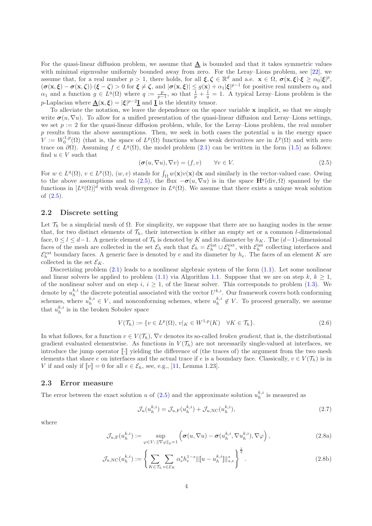For the quasi-linear diffusion problem, we assume that  $\underline{A}$  is bounded and that it takes symmetric values with minimal eigenvalue uniformly bounded away from zero. For the Leray–Lions problem, see [\[22\]](#page-18-13), we assume that, for a real number  $p > 1$ , there holds, for all  $\xi, \zeta \in \mathbb{R}^d$  and a.e.  $\mathbf{x} \in \Omega$ ,  $\sigma(\mathbf{x}, \xi) \cdot \xi \ge \alpha_0 |\xi|^p$ ,  $(\sigma(\mathbf{x}, \boldsymbol{\xi}) - \sigma(\mathbf{x}, \boldsymbol{\zeta}) \cdot (\boldsymbol{\xi} - \boldsymbol{\zeta}) > 0$  for  $\boldsymbol{\xi} \neq \boldsymbol{\zeta}$ , and  $|\sigma(\mathbf{x}, \boldsymbol{\xi})| \leq g(\mathbf{x}) + \alpha_1 |\boldsymbol{\xi}|^{p-1}$  for positive real numbers  $\alpha_0$  and  $\alpha_1$  and a function  $g \in L^q(\Omega)$  where  $q := \frac{p}{p-1}$ , so that  $\frac{1}{p} + \frac{1}{q} = 1$ . A typical Leray–Lions problem is the *p*-Laplacian where  $\underline{\mathbf{A}}(\mathbf{x}, \boldsymbol{\xi}) = |\boldsymbol{\xi}|^{p-2} \underline{\mathbf{I}}$  and  $\underline{\mathbf{I}}$  is the identity tensor.

To alleviate the notation, we leave the dependence on the space variable x implicit, so that we simply write  $\sigma(u,\nabla u)$ . To allow for a unified presentation of the quasi-linear diffusion and Leray–Lions settings, we set  $p := 2$  for the quasi-linear diffusion problem, while, for the Leray–Lions problem, the real number  $p$  results from the above assumptions. Then, we seek in both cases the potential  $u$  in the energy space  $V := W_0^{1,p}(\Omega)$  (that is, the space of  $L^p(\Omega)$  functions whose weak derivatives are in  $L^p(\Omega)$  and with zero trace on  $\partial\Omega$ ). Assuming  $f \in L^q(\Omega)$ , the model problem [\(2.1\)](#page-2-1) can be written in the form [\(1.5\)](#page-1-2) as follows: find  $u \in V$  such that

<span id="page-3-0"></span>
$$
(\sigma(u, \nabla u), \nabla v) = (f, v) \qquad \forall v \in V.
$$
\n(2.5)

For  $w \in L^q(\Omega)$ ,  $v \in L^p(\Omega)$ ,  $(w, v)$  stands for  $\int_{\Omega} w(\mathbf{x})v(\mathbf{x}) d\mathbf{x}$  and similarly in the vector-valued case. Owing to the above assumptions and to [\(2.5\)](#page-3-0), the flux  $-\sigma(u,\nabla u)$  is in the space  $\mathbf{H}^q(\text{div},\Omega)$  spanned by the functions in  $[L^q(\Omega)]^d$  with weak divergence in  $L^q(\Omega)$ . We assume that there exists a unique weak solution of [\(2.5\)](#page-3-0).

#### 2.2 Discrete setting

Let  $\mathcal{T}_h$  be a simplicial mesh of  $\Omega$ . For simplicity, we suppose that there are no hanging nodes in the sense that, for two distinct elements of  $\mathcal{T}_h$ , their intersection is either an empty set or a common *l*-dimensional face,  $0 \leq l \leq d-1$ . A generic element of  $\mathcal{T}_h$  is denoted by K and its diameter by  $h_K$ . The  $(d-1)$ -dimensional faces of the mesh are collected in the set  $\mathcal{E}_h$  such that  $\mathcal{E}_h = \mathcal{E}_h^{\text{int}} \cup \mathcal{E}_h^{\text{ext}}$ , with  $\mathcal{E}_h^{\text{int}}$  collecting interfaces and  $\mathcal{E}_h^{\text{ext}}$  boundary faces. A generic face is denoted by e and its diameter by  $h_e$ . The faces of an element K are collected in the set  $\mathcal{E}_K$ .

Discretizing problem  $(2.1)$  leads to a nonlinear algebraic system of the form  $(1.1)$ . Let some nonlinear and linear solvers be applied to problem [\(1.1\)](#page-0-0) via Algorithm 1.1. Suppose that we are on step k,  $k \geq 1$ , of the nonlinear solver and on step i,  $i \geq 1$ , of the linear solver. This corresponds to problem [\(1.3\)](#page-1-4). We denote by  $u_h^{k,i}$  the discrete potential associated with the vector  $U^{k,i}$ . Our framework covers both conforming schemes, where  $u_h^{k,i} \in V$ , and nonconforming schemes, where  $u_h^{k,i} \notin V$ . To proceed generally, we assume that  $u_h^{k,i}$  is in the broken Sobolev space

$$
V(\mathcal{T}_h) := \{ v \in L^p(\Omega), \, v|_K \in W^{1,p}(K) \quad \forall K \in \mathcal{T}_h \}. \tag{2.6}
$$

In what follows, for a function  $v \in V(\mathcal{T}_h)$ ,  $\nabla v$  denotes its so-called *broken gradient*, that is, the distributional gradient evaluated elementwise. As functions in  $V(\mathcal{T}_h)$  are not necessarily single-valued at interfaces, we introduce the jump operator  $\lbrack \cdot \rbrack$  yielding the difference of (the traces of) the argument from the two mesh elements that share e on interfaces and the actual trace if e is a boundary face. Classically,  $v \in V(\mathcal{T}_h)$  is in V if and only if  $\llbracket v \rrbracket = 0$  for all  $e \in \mathcal{E}_h$ , see, e.g., [\[11,](#page-18-14) Lemma 1.23].

#### 2.3 Error measure

The error between the exact solution u of  $(2.5)$  and the approximate solution  $u_h^{k,i}$  is measured as

<span id="page-3-2"></span><span id="page-3-1"></span>
$$
\mathcal{J}_u(u_h^{k,i}) = \mathcal{J}_{u,\mathrm{F}}(u_h^{k,i}) + \mathcal{J}_{u,\mathrm{NC}}(u_h^{k,i}),\tag{2.7}
$$

where

$$
\mathcal{J}_{u,\mathrm{F}}(u_h^{k,i}) := \sup_{\varphi \in V; \, \|\nabla \varphi\|_p = 1} \left( \sigma(u,\nabla u) - \sigma(u_h^{k,i},\nabla u_h^{k,i}),\nabla \varphi \right),\tag{2.8a}
$$

$$
\mathcal{J}_{u,\mathrm{NC}}(u_h^{k,i}) := \left\{ \sum_{K \in \mathcal{T}_h} \sum_{e \in \mathcal{E}_K} \alpha_e^s h_e^{1-s} \| [u - u_h^{k,i} ] \|_{s,e}^s \right\}^{\frac{1}{q}}.
$$
\n(2.8b)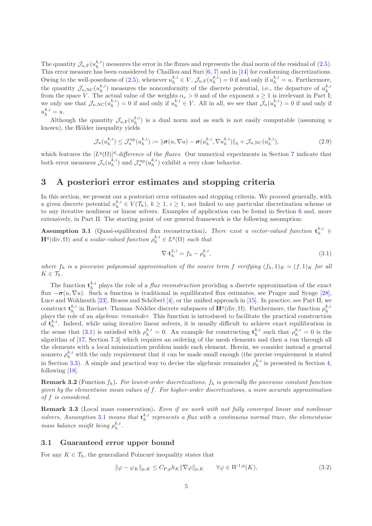The quantity  $\mathcal{J}_{u,F}(u_h^{k,i})$  measures the error in the fluxes and represents the dual norm of the residual of [\(2.5\)](#page-3-0). This error measure has been considered by Chaillou and Suri  $[6, 7]$  $[6, 7]$  and in [\[14\]](#page-18-11) for conforming discretizations. Owing to the well-posedness of [\(2.5\)](#page-3-0), whenever  $u_h^{k,i} \in V$ ,  $\mathcal{J}_{u,\mathrm{F}}(u_h^{k,i}) = 0$  if and only if  $u_h^{k,i} = u$ . Furthermore, the quantity  $\mathcal{J}_{u,\text{NC}}(u_h^{k,i})$  measures the nonconformity of the discrete potential, i.e., the departure of  $u_h^{k,i}$ from the space V. The actual value of the weights  $\alpha_e > 0$  and of the exponent  $s \ge 1$  is irrelevant in Part I; we only use that  $\mathcal{J}_{u,\text{NC}}(u_h^{k,i})=0$  if and only if  $u_h^{k,i} \in V$ . All in all, we see that  $\mathcal{J}_u(u_h^{k,i})=0$  if and only if  $u_h^{k,i} = u.$ 

Although the quantity  $\mathcal{J}_{u,F}(u_h^{k,i})$  is a dual norm and as such is not easily computable (assuming u known), the Hölder inequality yields

<span id="page-4-4"></span>
$$
\mathcal{J}_u(u_h^{k,i}) \leq \mathcal{J}_u^{\text{up}}(u_h^{k,i}) := \|\boldsymbol{\sigma}(u, \nabla u) - \boldsymbol{\sigma}(u_h^{k,i}, \nabla u_h^{k,i})\|_q + \mathcal{J}_{u,\text{NC}}(u_h^{k,i}),\tag{2.9}
$$

which features the  $[L^q(\Omega)]^d$ -difference of the fluxes. Our numerical experiments in Section [7](#page-10-0) indicate that both error measures  $\mathcal{J}_u(u_h^{k,i})$  and  $\mathcal{J}_u^{\text{up}}(u_h^{k,i})$  exhibit a very close behavior.

# <span id="page-4-0"></span>3 A posteriori error estimates and stopping criteria

In this section, we present our a posteriori error estimates and stopping criteria. We proceed generally, with a given discrete potential  $u_h^{k,i} \in V(\mathcal{T}_h)$ ,  $k \geq 1$ ,  $i \geq 1$ , not linked to any particular discretization scheme or to any iterative nonlinear or linear solvers. Examples of application can be found in Section [6](#page-9-0) and, more extensively, in Part II. The starting point of our general framework is the following assumption:

<span id="page-4-2"></span>**Assumption 3.1** (Quasi-equilibrated flux reconstruction). There exist a vector-valued function  $\mathbf{t}_h^{k,i} \in$  $\mathbf{H}^q(\text{div}, \Omega)$  and a scalar-valued function  $\rho_h^{k,i} \in L^q(\Omega)$  such that

<span id="page-4-1"></span>
$$
\nabla \cdot \mathbf{t}_h^{k,i} = f_h - \rho_h^{k,i},\tag{3.1}
$$

where  $f_h$  is a piecewise polynomial approximation of the source term f verifying  $(f_h, 1)_K = (f, 1)_K$  for all  $K\in\mathcal{T}_h$ .

The function  $\mathbf{t}_{h}^{k,i}$  plays the role of a *flux reconstruction* providing a discrete approximation of the exact flux  $-\sigma(u, \nabla u)$ . Such a function is traditional in equilibrated flux estimates, see Prager and Synge [\[28\]](#page-19-2), Luce and Wohlmuth  $[23]$ , Braess and Schöberl  $[4]$ , or the unified approach in  $[15]$ . In practice, see Part II, we construct  $\mathbf{t}_h^{k,i}$  in Raviart–Thomas–Nédélec discrete subspaces of  $\mathbf{H}^q(\text{div}, \Omega)$ . Furthermore, the function  $\rho_h^{k,i}$  plays the role of an *algebraic remainder*. This function is introduced to facilitate the pra of  $\mathbf{t}_h^{k,i}$ . Indeed, while using iterative linear solvers, it is usually difficult to achieve exact equilibration in the sense that [\(3.1\)](#page-4-1) is satisfied with  $\rho_h^{k,i} = 0$ . An example for constructing  $\mathbf{t}_h^{k,i}$  such that  $\rho_h^{k,i} = 0$  is the algorithm of [\[17,](#page-18-10) Section 7.3] which requires an ordering of the mesh elements and then a run through all the elements with a local minimization problem inside each element. Herein, we consider instead a general nonzero  $\rho_h^{k,i}$  with the only requirement that it can be made small enough (the precise requirement is stated in Section [3.3\)](#page-6-0). A simple and practical way to devise the algebraic remainder  $\rho_h^{k,i}$  is presented in Section [4,](#page-7-0) following [\[18\]](#page-18-17).

**Remark 3.2** (Function  $f_h$ ). For lowest-order discretizations,  $f_h$  is generally the piecewise constant function given by the elementwise mean values of  $f$ . For higher-order discretizations, a more accurate approximation of f is considered.

Remark 3.3 (Local mass conservation). Even if we work with not fully converged linear and nonlinear solvers, Assumption [3.1](#page-4-2) means that  $\mathbf{t}_h^{k,i}$  represents a flux with a continuous normal trace, the elementwise mass balance misfit being  $\rho_h^{k,i}$ .

### 3.1 Guaranteed error upper bound

For any  $K \in \mathcal{T}_h$ , the generalized Poincaré inequality states that

<span id="page-4-3"></span>
$$
\|\varphi - \varphi_K\|_{p,K} \le C_{\mathcal{P},p} h_K \|\nabla \varphi\|_{p,K} \qquad \forall \varphi \in W^{1,p}(K),\tag{3.2}
$$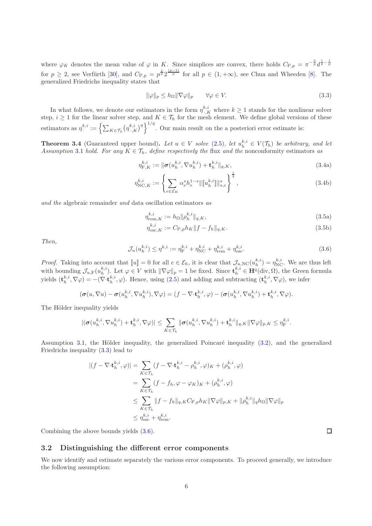where  $\varphi_K$  denotes the mean value of  $\varphi$  in K. Since simplices are convex, there holds  $C_{P,p} = \pi^{-\frac{2}{p}} d^{\frac{1}{2}-\frac{1}{p}}$ for  $p \geq 2$ , see Verfürth [\[30\]](#page-19-3), and  $C_{P,p} = p^{\frac{1}{p}} 2^{\frac{(p-1)}{p}}$  for all  $p \in (1, +\infty)$ , see Chua and Wheeden [\[8\]](#page-18-18). The generalized Friedrichs inequality states that

<span id="page-5-0"></span>
$$
\|\varphi\|_p \le h_{\Omega} \|\nabla \varphi\|_p \qquad \forall \varphi \in V. \tag{3.3}
$$

In what follows, we denote our estimators in the form  $\eta_{\cdot,K}^{k,i}$  where  $k \geq 1$  stands for the nonlinear solver step,  $i \geq 1$  for the linear solver step, and  $K \in \mathcal{T}_h$  for the mesh element. We define global versions of these estimators as  $\eta^{k,i} := \left\{ \sum_{K \in \mathcal{T}_h} (\eta^{k,i}_{\cdot,K})^q \right\}^{1/q}$ . Our main result on the a posteriori error estimate is:

<span id="page-5-5"></span>**Theorem 3.4** (Guaranteed upper bound). Let  $u \in V$  solve  $(2.5)$ , let  $u_h^{k,i} \in V(\mathcal{T}_h)$  be arbitrary, and let Assumption [3.1](#page-4-2) hold. For any  $K \in \mathcal{T}_h$ , define respectively the flux and the nonconformity estimators as

$$
\eta_{\mathcal{F},K}^{k,i} := \|\sigma(u_h^{k,i}, \nabla u_h^{k,i}) + \mathbf{t}_h^{k,i}\|_{q,K},\tag{3.4a}
$$

$$
\eta_{\text{NC},K}^{k,i} := \left\{ \sum_{e \in \mathcal{E}_K} \alpha_e^s h_e^{1-s} \| [u_h^{k,i}] \|_{s,e}^s \right\}^{\frac{1}{q}},\tag{3.4b}
$$

and the algebraic remainder and data oscillation estimators as

<span id="page-5-2"></span>
$$
\eta_{\text{rem},K}^{k,i} := h_{\Omega} \|\rho_h^{k,i}\|_{q,K},\tag{3.5a}
$$

<span id="page-5-4"></span><span id="page-5-3"></span>
$$
\eta_{\text{osc},K}^{k,i} := C_{\text{P},p} h_K \|f - f_h\|_{q,K}.
$$
\n(3.5b)

Then,

<span id="page-5-1"></span>
$$
\mathcal{J}_u(u_h^{k,i}) \le \eta^{k,i} := \eta_{\mathcal{F}}^{k,i} + \eta_{\mathcal{NC}}^{k,i} + \eta_{\mathcal{F}}^{k,i} + \eta_{\mathcal{S}\mathcal{C}}^{k,i}.
$$
\n(3.6)

*Proof.* Taking into account that  $[u] = 0$  for all  $e \in \mathcal{E}_h$ , it is clear that  $\mathcal{J}_{u, NC}(u_h^{k,i}) = \eta_{NC}^{k,i}$ . We are thus left with bounding  $\mathcal{J}_{u,F}(u_h^{k,i})$ . Let  $\varphi \in V$  with  $\|\nabla \varphi\|_p = 1$  be fixed. Since  $\mathbf{t}_h^{k,i} \in \mathbf{H}^q(\text{div}, \Omega)$ , the Green formula yields  $(\mathbf{t}_h^{k,i}, \nabla \varphi) = -(\nabla \cdot \mathbf{t}_h^{k,i}, \varphi)$ . Hence, using [\(2.5\)](#page-3-0) and adding and subtracting  $(\mathbf{t}_h^{k,i}, \nabla \varphi)$ , we infer

$$
(\boldsymbol{\sigma}(u,\nabla u)-\boldsymbol{\sigma}(u_h^{k,i},\nabla u_h^{k,i}),\nabla\varphi)=(f-\nabla\cdot\mathbf{t}_h^{k,i},\varphi)-(\boldsymbol{\sigma}(u_h^{k,i},\nabla u_h^{k,i})+\mathbf{t}_h^{k,i},\nabla\varphi).
$$

The Hölder inequality yields

$$
|(\boldsymbol{\sigma}(\boldsymbol{u}_h^{k,i}, \nabla \boldsymbol{u}_h^{k,i}) + \mathbf{t}_h^{k,i}, \nabla \varphi)| \leq \sum_{K \in \mathcal{T}_h} \|\boldsymbol{\sigma}(\boldsymbol{u}_h^{k,i}, \nabla \boldsymbol{u}_h^{k,i}) + \mathbf{t}_h^{k,i}\|_{q,K}\|\nabla \varphi\|_{p,K} \leq \eta_{\text{F}}^{k,i}.
$$

Assumption [3.1,](#page-4-2) the Hölder inequality, the generalized Poincaré inequality  $(3.2)$ , and the generalized Friedrichs inequality [\(3.3\)](#page-5-0) lead to

$$
|(f - \nabla \cdot \mathbf{t}_h^{k,i}, \varphi)| = \sum_{K \in \mathcal{T}_h} (f - \nabla \cdot \mathbf{t}_h^{k,i} - \rho_h^{k,i}, \varphi)_K + (\rho_h^{k,i}, \varphi)
$$
  
\n
$$
= \sum_{K \in \mathcal{T}_h} (f - f_h, \varphi - \varphi_K)_K + (\rho_h^{k,i}, \varphi)
$$
  
\n
$$
\leq \sum_{K \in \mathcal{T}_h} ||f - f_h||_{q,K} C_{\mathcal{P},p} h_K ||\nabla \varphi||_{p,K} + ||\rho_h^{k,i}||_q h_\Omega ||\nabla \varphi||_p
$$
  
\n
$$
\leq \eta_{\text{osc}}^{k,i} + \eta_{\text{rem}}^{k,i}.
$$

Combining the above bounds yields [\(3.6\)](#page-5-1).

#### 3.2 Distinguishing the different error components

We now identify and estimate separately the various error components. To proceed generally, we introduce the following assumption:

 $\Box$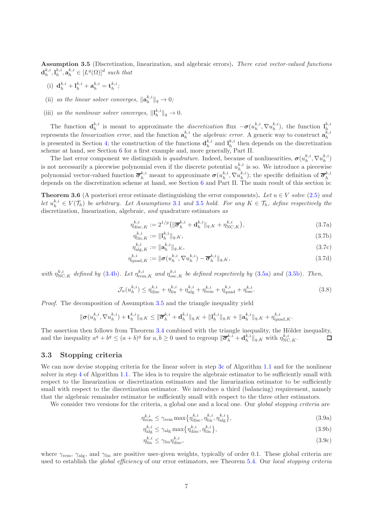<span id="page-6-1"></span>Assumption 3.5 (Discretization, linearization, and algebraic errors). There exist vector-valued functions  $\mathbf{d}_h^{k,i}, \mathbf{l}_h^{k,i}, \mathbf{a}_h^{k,i} \in [L^q(\Omega)]^d$  such that

- (i)  $\mathbf{d}_{h}^{k,i} + \mathbf{l}_{h}^{k,i} + \mathbf{a}_{h}^{k,i} = \mathbf{t}_{h}^{k,i};$
- (ii) as the linear solver converges,  $\|\mathbf{a}_h^{k,i}\|_q \to 0$ ;
- (iii) as the nonlinear solver converges,  $\|\mathbf{l}_h^{k,i}\|_q \to 0$ .

The function  $\mathbf{d}_{h}^{k,i}$  is meant to approximate the *discretization* flux  $-\boldsymbol{\sigma}(u_h^{k,i}, \nabla u_h^{k,i})$ , the function  $\mathbf{l}_h^{k,i}$ represents the *linearization error*, and the function  $a_h^{k,i}$  the *algebraic error*. A generic way to construct  $a_h^{k,i}$ is presented in Section [4;](#page-7-0) the construction of the functions  $\mathbf{d}_h^{k,i}$  and  $\mathbf{l}_h^{k,i}$  then depends on the discretization scheme at hand, see Section [6](#page-9-0) for a first example and, more generally, Part II.

The last error component we distinguish is *quadrature*. Indeed, because of nonlinearities,  $\sigma(u_h^{k,i}, \nabla u_h^{k,i})$ is not necessarily a piecewise polynomial even if the discrete potential  $u_h^{k,i}$  is so. We introduce a piecewise polynomial vector-valued function  $\overline{\sigma}_h^{k,i}$  meant to approximate  $\sigma(u_h^{k,i}, \nabla u_h^{k,i})$ ; the specific definition of  $\overline{\sigma}_h^{k,i}$  depends on the discretization scheme at hand, see Section [6](#page-9-0) and Part II. The main result

<span id="page-6-5"></span>**Theorem 3.6** (A posteriori error estimate distinguishing the error components). Let  $u \in V$  solve [\(2.5\)](#page-3-0) and let  $u_h^{k,i} \in V(\mathcal{T}_h)$  be arbitrary. Let Assumptions [3.1](#page-4-2) and [3.5](#page-6-1) hold. For any  $K \in \mathcal{T}_h$ , define respectively the discretization, linearization, algebraic, and quadrature estimators as

$$
\eta_{\text{disc},K}^{k,i} := 2^{1/p} \left( \|\overline{\sigma}_h^{k,i} + \mathbf{d}_h^{k,i} \|_{q,K} + \eta_{\text{NC},K}^{k,i} \right),\tag{3.7a}
$$

<span id="page-6-4"></span>
$$
\eta_{\text{lin},K}^{k,i} := \| \mathbf{l}_h^{k,i} \|_{q,K},\tag{3.7b}
$$

$$
\eta_{\text{alg},K}^{k,i} := \|\mathbf{a}_h^{k,i}\|_{q,K},\tag{3.7c}
$$

$$
\eta_{\text{quad},K}^{k,i} := \|\boldsymbol{\sigma}(u_h^{k,i}, \nabla u_h^{k,i}) - \overline{\boldsymbol{\sigma}}_h^{k,i}\|_{q,K},\tag{3.7d}
$$

with  $\eta_{\text{NC},K}^{k,i}$  defined by [\(3.4b\)](#page-5-2). Let  $\eta_{\text{rem},K}^{k,i}$  and  $\eta_{\text{osc},K}^{k,i}$  be defined respectively by [\(3.5a\)](#page-5-3) and [\(3.5b\)](#page-5-4). Then,

$$
\mathcal{J}_u(u_h^{k,i}) \le \eta_{\text{disc}}^{k,i} + \eta_{\text{lin}}^{k,i} + \eta_{\text{alg}}^{k,i} + \eta_{\text{rem}}^{k,i} + \eta_{\text{quad}}^{k,i} + \eta_{\text{osc}}^{k,i}.
$$
\n(3.8)

Proof. The decomposition of Assumption [3.5](#page-6-1) and the triangle inequality yield

$$
\|\sigma(u_h^{k,i}, \nabla u_h^{k,i}) + \mathbf{t}_h^{k,i}\|_{q,K} \leq \|\overline{\sigma}_h^{k,i} + \mathbf{d}_h^{k,i}\|_{q,K} + \|\mathbf{l}_h^{k,i}\|_{q,K} + \|\mathbf{a}_h^{k,i}\|_{q,K} + \eta_{\text{quad},K}^{k,i}.
$$

The assertion then follows from Theorem [3.4](#page-5-5) combined with the triangle inequality, the Hölder inequality, and the inequality  $a^q + b^q \leq (a+b)^q$  for  $a, b \geq 0$  used to regroup  $\|\overline{\sigma}_h^{k,i} + \mathbf{d}_h^{k,i}\|_{q,K}$  with  $\eta_{\text{NC},K}^{k,i}$ . □

#### <span id="page-6-0"></span>3.3 Stopping criteria

We can now devise stopping criteria for the linear solver in step [3c](#page-1-1) of Algorithm 1.1 and for the nonlinear solver in step [4](#page-1-3) of Algorithm 1.1. The idea is to require the algebraic estimator to be sufficiently small with respect to the linearization or discretization estimators and the linearization estimator to be sufficiently small with respect to the discretization estimator. We introduce a third (balancing) requirement, namely that the algebraic remainder estimator be sufficiently small with respect to the three other estimators.

We consider two versions for the criteria, a global one and a local one. Our *global stopping criteria* are

$$
\eta_{\text{rem}}^{k,i} \le \gamma_{\text{rem}} \max \{ \eta_{\text{disc}}^{k,i}, \eta_{\text{lin}}^{k,i}, \eta_{\text{alg}}^{k,i} \},\tag{3.9a}
$$

<span id="page-6-6"></span><span id="page-6-3"></span><span id="page-6-2"></span>
$$
\eta_{\text{alg}}^{k,i} \le \gamma_{\text{alg}} \max \{ \eta_{\text{disc}}^{k,i}, \eta_{\text{lin}}^{k,i} \},\tag{3.9b}
$$

$$
\eta_{\text{lin}}^{k,i} \le \gamma_{\text{lin}} \eta_{\text{disc}}^{k,i},\tag{3.9c}
$$

where  $\gamma_{\text{rem}}, \gamma_{\text{alg}},$  and  $\gamma_{\text{lin}}$  are positive user-given weights, typically of order 0.1. These global criteria are used to establish the *global efficiency* of our error estimators, see Theorem [5.4.](#page-9-1) Our *local stopping criteria*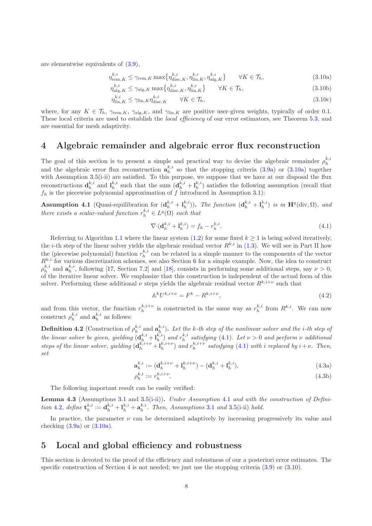are elementwise equivalents of [\(3.9\)](#page-6-2),

<span id="page-7-6"></span>
$$
\eta_{\text{rem},K}^{k,i} \le \gamma_{\text{rem},K} \max \{ \eta_{\text{disc},K}^{k,i}, \eta_{\text{lin},K}^{k,i}, \eta_{\text{alg},K}^{k,i} \} \qquad \forall K \in \mathcal{T}_h,
$$
\n(3.10a)

$$
\eta_{\text{alg},K}^{k,i} \le \gamma_{\text{alg},K} \max \{ \eta_{\text{disc},K}^{k,i}, \eta_{\text{lin},K}^{k,i} \} \qquad \forall K \in \mathcal{T}_h,
$$
\n(3.10b)

<span id="page-7-8"></span><span id="page-7-7"></span><span id="page-7-2"></span>
$$
\eta_{\text{lin},K}^{k,i} \le \gamma_{\text{lin},K} \eta_{\text{disc},K}^{k,i} \qquad \forall K \in \mathcal{T}_h,\tag{3.10c}
$$

where, for any  $K \in \mathcal{T}_h$ ,  $\gamma_{\text{rem},K}$ ,  $\gamma_{\text{alg},K}$ , and  $\gamma_{\text{lin},K}$  are positive user-given weights, typically of order 0.1. These local criteria are used to establish the local efficiency of our error estimators, see Theorem [5.3,](#page-8-0) and are essential for mesh adaptivity.

# <span id="page-7-0"></span>4 Algebraic remainder and algebraic error flux reconstruction

The goal of this section is to present a simple and practical way to devise the algebraic remainder  $\rho_h^{k,i}$ and the algebraic error flux reconstruction  $a_h^{k,i}$  so that the stopping criteria [\(3.9a\)](#page-6-3) or [\(3.10a\)](#page-7-2) together with Assumption  $3.5(i\text{-}ii)$  $3.5(i\text{-}ii)$  are satisfied. To this purpose, we suppose that we have at our disposal the flux reconstructions  $\mathbf{d}_h^{k,i}$  and  $\mathbf{l}_h^{k,i}$  such that the sum  $(\mathbf{d}_h^{k,i} + \mathbf{l}_h^{k,i})$  satisfies the following assumption (recall that  $f_h$  is the piecewise polynomial approximation of f introduced in Assumption [3.1\)](#page-4-2):

<span id="page-7-4"></span>**Assumption 4.1** (Quasi-equilibration for  $(\mathbf{d}_h^{k,i} + \mathbf{l}_h^{k,i})$ ). The function  $(\mathbf{d}_h^{k,i} + \mathbf{l}_h^{k,i})$  is in  $\mathbf{H}^q(\text{div}, \Omega)$ , and there exists a scalar-valued function  $r_h^{k,i} \in L^q(\Omega)$  such that

<span id="page-7-3"></span>
$$
\nabla \cdot (\mathbf{d}_h^{k,i} + \mathbf{l}_h^{k,i}) = f_h - r_h^{k,i}.\tag{4.1}
$$

Referring to Algorithm 1.1 where the linear system [\(1.2\)](#page-0-1) for some fixed  $k \geq 1$  is being solved iteratively, the *i*-th step of the linear solver yields the algebraic residual vector  $R^{k,i}$  in [\(1.3\)](#page-1-4). We will see in Part II how the (piecewise polynomial) function  $r_h^{k,i}$  can be related in a simple manner to the components of the vector  $R^{k,i}$  for various discretization schemes, see also Section [6](#page-9-0) for a simple example. Now, the idea to construct  $\rho_h^{k,i}$  and  $\mathbf{a}_h^{k,i}$ , following [\[17,](#page-18-10) Section 7.2] and [\[18\]](#page-18-17), consists in performing some additional steps, say  $\nu > 0$ , of the iterative linear solver. We emphasize that this construction is independent of the actual form of this solver. Performing these additional  $\nu$  steps yields the algebraic residual vector  $R^{k,i+\nu}$  such that

$$
\mathbb{A}^k U^{k,i+\nu} = F^k - R^{k,i+\nu},\tag{4.2}
$$

and from this vector, the function  $r_h^{k,i+\nu}$  is constructed in the same way as  $r_h^{k,i}$  from  $R^{k,i}$ . We can now construct  $\rho_h^{k,i}$  and  $\mathbf{a}_h^{k,i}$  as follows:

<span id="page-7-5"></span>**Definition 4.2** (Construction of  $\rho_h^{k,i}$  and  $\mathbf{a}_h^{k,i}$ ). Let the k-th step of the nonlinear solver and the *i*-th step of the linear solver be given, yielding  $(d_h^{k,i} + l_h^{k,i})$  and  $r_h^{k,i}$  satisfying [\(4.1\)](#page-7-3). Let  $\nu > 0$  and perform  $\nu$  additional steps of the linear solver, yielding  $(\mathbf{d}_h^{k,i+\nu} + \mathbf{l}_h^{k,i+\nu})$  and  $r_h^{k,i+\nu}$  satisfying [\(4.1\)](#page-7-3) with i replaced by  $i+\nu$ . Then, set

$$
\mathbf{a}_h^{k,i} := (\mathbf{d}_h^{k,i+\nu} + \mathbf{l}_h^{k,i+\nu}) - (\mathbf{d}_h^{k,i} + \mathbf{l}_h^{k,i}),
$$
(4.3a)

$$
\rho_h^{k,i} := r_h^{k,i+\nu}.\tag{4.3b}
$$

The following important result can be easily verified:

Lemma 4.3 (Assumptions [3.1](#page-4-2) and [3.5\(](#page-6-1)i-ii)). Under Assumption [4.1](#page-7-4) and with the construction of Defini-tion [4.2](#page-7-5), define  $\mathbf{t}_h^{k,i} := \mathbf{d}_h^{k,i} + \mathbf{l}_h^{k,i} + \mathbf{a}_h^{k,i}$ . Then, Assumptions [3.1](#page-4-2) and [3.5\(](#page-6-1)i-ii) hold.

In practice, the parameter  $\nu$  can be determined adaptively by increasing progressively its value and checking  $(3.9a)$  or  $(3.10a)$ .

## <span id="page-7-1"></span>5 Local and global efficiency and robustness

This section is devoted to the proof of the efficiency and robustness of our a posteriori error estimates. The specific construction of Section [4](#page-7-0) is not needed; we just use the stopping criteria  $(3.9)$  or  $(3.10)$ .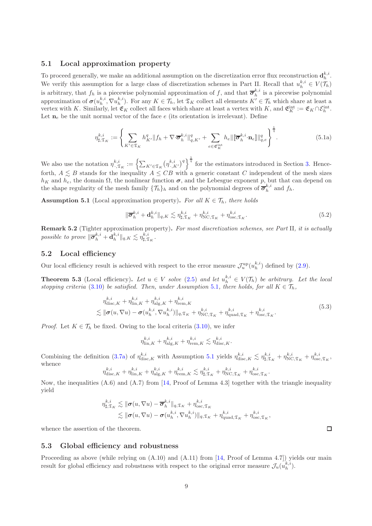#### 5.1 Local approximation property

To proceed generally, we make an additional assumption on the discretization error flux reconstruction  $\mathbf{d}_h^{k,i}$ . We verify this assumption for a large class of discretization schemes in Part II. Recall that  $u_h^{k,i} \in V(\mathcal{T}_h)$ is arbitrary, that  $f_h$  is a piecewise polynomial approximation of f, and that  $\overline{\sigma}_h^{k,i}$  is a piecewise polynomial approximation of  $\sigma(u_h^{k,i}, \nabla u_h^{k,i})$ . For any  $K \in \mathcal{T}_h$ , let  $\mathfrak{T}_K$  collect all elements  $K' \in \mathcal{T}_h$  which share at least a vertex with K. Similarly, let  $\mathfrak{E}_K$  collect all faces which share at least a vertex with K, and  $\mathfrak{E}_K^{\text{int}} := \mathfrak{E}_K \cap \mathcal{E}_h^{\text{int}}$ . Let  $n_e$  be the unit normal vector of the face e (its orientation is irrelevant). Define

$$
\eta_{\sharp,\mathfrak{T}_K}^{k,i} := \left\{ \sum_{K' \in \mathfrak{T}_K} h_{K'}^q \| f_h + \nabla \cdot \overline{\sigma}_h^{k,i} \|_{q,K'}^q + \sum_{e \in \mathfrak{E}_K^{\text{int}}} h_e \| \overline{\sigma}_h^{k,i} \cdot \mathbf{n}_e \|\|_{q,e}^q \right\}^{\frac{1}{q}}.
$$
(5.1a)

We also use the notation  $\eta_{\cdot,\mathfrak{T}_K}^{k,i} := \left\{ \sum_{K' \in \mathfrak{T}_K} (\eta_{\cdot,K'}^{k,i})^q \right\}^{\frac{1}{q}}$  for the estimators introduced in Section [3.](#page-4-0) Henceforth,  $A \leq B$  stands for the inequality  $A \leq CB$  with a generic constant C independent of the mesh sizes  $h_K$  and  $h_e$ , the domain  $\Omega$ , the nonlinear function  $\sigma$ , and the Lebesgue exponent p, but that can depend on the shape regularity of the mesh family  $\{\mathcal{T}_h\}_h$  and on the polynomial degrees of  $\bar{\sigma}_h^{k,i}$  and  $f_h$ .

<span id="page-8-1"></span>**Assumption 5.1** (Local approximation property). For all  $K \in \mathcal{T}_h$ , there holds

$$
\|\overline{\boldsymbol{\sigma}}_h^{k,i} + \mathbf{d}_h^{k,i}\|_{q,K} \lesssim \eta_{\sharp,\mathfrak{T}_K}^{k,i} + \eta_{\text{NC},\mathfrak{T}_K}^{k,i} + \eta_{\text{osc},\mathfrak{T}_K}^{k,i}.
$$
\n
$$
(5.2)
$$

**Remark 5.2** (Tighter approximation property). For most discretization schemes, see Part II, it is actually possible to prove  $\|\overline{\boldsymbol\sigma}_h^{k,i}+\mathbf{d}_h^{k,i}\|_{q,K}\lesssim \eta_{\sharp,\mathfrak{T}_K}^{k,i}.$ 

#### 5.2 Local efficiency

Our local efficiency result is achieved with respect to the error measure  $\mathcal{J}_u^{\text{up}}(u_h^{k,i})$  defined by [\(2.9\)](#page-4-4).

<span id="page-8-0"></span>**Theorem 5.3** (Local efficiency). Let  $u \in V$  solve [\(2.5\)](#page-3-0) and let  $u_h^{k,i} \in V(\mathcal{T}_h)$  be arbitrary. Let the local stopping criteria [\(3.10\)](#page-7-6) be satisfied. Then, under Assumption [5.1](#page-8-1), there holds, for all  $K \in \mathcal{T}_h$ ,

$$
\eta_{\text{disc},K}^{k,i} + \eta_{\text{lin},K}^{k,i} + \eta_{\text{alg},K}^{k,i} + \eta_{\text{rem},K}^{k,i}
$$
\n
$$
\lesssim \|\boldsymbol{\sigma}(u,\nabla u) - \boldsymbol{\sigma}(u_h^{k,i},\nabla u_h^{k,i})\|_{q,\mathfrak{T}_K} + \eta_{\text{NC},\mathfrak{T}_K}^{k,i} + \eta_{\text{quad},\mathfrak{T}_K}^{k,i} + \eta_{\text{osc},\mathfrak{T}_K}^{k,i}.
$$
\n(5.3)

.

*Proof.* Let  $K \in \mathcal{T}_h$  be fixed. Owing to the local criteria [\(3.10\)](#page-7-6), we infer

$$
\eta_{\text{lin},K}^{k,i} + \eta_{\text{alg},K}^{k,i} + \eta_{\text{rem},K}^{k,i} \lesssim \eta_{\text{disc},K}^{k,i}.
$$

Combining the definition [\(3.7a\)](#page-6-4) of  $\eta_{\text{disc},K}^{k,i}$  with Assumption [5.1](#page-8-1) yields  $\eta_{\text{disc},K}^{k,i} \lesssim \eta_{\sharp,\mathfrak{T}_K}^{k,i} + \eta_{\text{NC},\mathfrak{T}_K}^{k,i} + \eta_{\text{osc},\mathfrak{T}_K}^{k,i}$ , whence

$$
\eta_{\text{disc},K}^{k,i} + \eta_{\text{lin},K}^{k,i} + \eta_{\text{alg},K}^{k,i} + \eta_{\text{rem},K}^{k,i} \lesssim \eta_{\sharp,\mathfrak{T}_K}^{k,i} + \eta_{\text{NC},\mathfrak{T}_K}^{k,i} + \eta_{\text{osc},\mathfrak{T}_K}^{k,i}
$$

Now, the inequalities  $(A.6)$  and  $(A.7)$  from [\[14,](#page-18-11) Proof of Lemma 4.3] together with the triangle inequality yield

$$
\eta_{\sharp,\mathfrak{T}_K}^{k,i} \lesssim \|\boldsymbol{\sigma}(u,\nabla u) - \overline{\boldsymbol{\sigma}}_h^{k,i}\|_{q,\mathfrak{T}_K} + \eta_{\mathrm{osc},\mathfrak{T}_K}^{k,i}
$$
  

$$
\lesssim \|\boldsymbol{\sigma}(u,\nabla u) - \boldsymbol{\sigma}(u_h^{k,i},\nabla u_h^{k,i})\|_{q,\mathfrak{T}_K} + \eta_{\mathrm{quad},\mathfrak{T}_K}^{k,i} + \eta_{\mathrm{osc},\mathfrak{T}_K}^{k,i},
$$

whence the assertion of the theorem.

#### 5.3 Global efficiency and robustness

Proceeding as above (while relying on  $(A.10)$  and  $(A.11)$  from [\[14,](#page-18-11) Proof of Lemma 4.7]) yields our main result for global efficiency and robustness with respect to the original error measure  $\mathcal{J}_u(u_h^{k,i})$ .

 $\Box$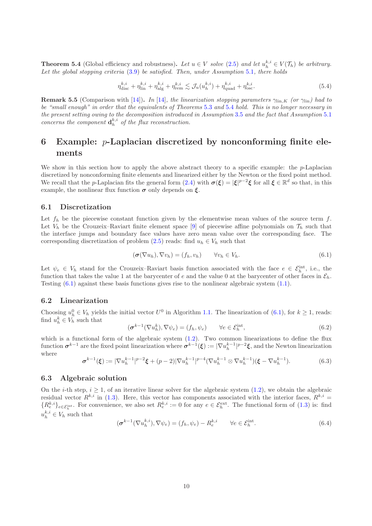<span id="page-9-1"></span>**Theorem 5.4** (Global efficiency and robustness). Let  $u \in V$  solve [\(2.5\)](#page-3-0) and let  $u_h^{k,i} \in V(\mathcal{T}_h)$  be arbitrary. Let the global stopping criteria [\(3.9\)](#page-6-2) be satisfied. Then, under Assumption [5.1](#page-8-1), there holds

$$
\eta_{\text{disc}}^{k,i} + \eta_{\text{lin}}^{k,i} + \eta_{\text{alg}}^{k,i} + \eta_{\text{rem}}^{k,i} \lesssim \mathcal{J}_u(u_h^{k,i}) + \eta_{\text{quad}}^{k,i} + \eta_{\text{osc}}^{k,i}.\tag{5.4}
$$

**Remark 5.5** (Comparison with [\[14\]](#page-18-11)). In [\[14\]](#page-18-11), the linearization stopping parameters  $\gamma_{lin,K}$  (or  $\gamma_{lin}$ ) had to be "small enough" in order that the equivalents of Theorems [5.3](#page-8-0) and [5.4](#page-9-1) hold. This is no longer necessary in the present setting owing to the decomposition introduced in Assumption [3.5](#page-6-1) and the fact that Assumption [5.1](#page-8-1) concerns the component  $\mathbf{d}_h^{k,i}$  of the flux reconstruction.

# <span id="page-9-0"></span>6 Example: p-Laplacian discretized by nonconforming finite elements

We show in this section how to apply the above abstract theory to a specific example: the  $p$ -Laplacian discretized by nonconforming finite elements and linearized either by the Newton or the fixed point method. We recall that the *p*-Laplacian fits the general form  $(2.4)$  with  $\sigma(\xi) = |\xi|^{p-2}\xi$  for all  $\xi \in \mathbb{R}^d$  so that, in this example, the nonlinear flux function  $\sigma$  only depends on  $\xi$ .

#### 6.1 Discretization

Let  $f_h$  be the piecewise constant function given by the elementwise mean values of the source term f. Let  $V_h$  be the Crouzeix–Raviart finite element space [\[9\]](#page-18-19) of piecewise affine polynomials on  $\mathcal{T}_h$  such that the interface jumps and boundary face values have zero mean value over the corresponding face. The corresponding discretization of problem [\(2.5\)](#page-3-0) reads: find  $u_h \in V_h$  such that

<span id="page-9-2"></span>
$$
(\boldsymbol{\sigma}(\nabla u_h), \nabla v_h) = (f_h, v_h) \qquad \forall v_h \in V_h. \tag{6.1}
$$

Let  $\psi_e \in V_h$  stand for the Crouzeix-Raviart basis function associated with the face  $e \in \mathcal{E}_h^{\text{int}}$ , i.e., the function that takes the value 1 at the barycenter of e and the value 0 at the barycenter of other faces in  $\mathcal{E}_h$ . Testing [\(6.1\)](#page-9-2) against these basis functions gives rise to the nonlinear algebraic system [\(1.1\)](#page-0-0).

#### 6.2 Linearization

Choosing  $u_h^0 \in V_h$  yields the initial vector  $U^0$  in Algorithm 1.1. The linearization of  $(6.1)$ , for  $k \ge 1$ , reads: find  $u_h^k \in V_h$  such that

$$
(\boldsymbol{\sigma}^{k-1}(\nabla u_h^k), \nabla \psi_e) = (f_h, \psi_e) \qquad \forall e \in \mathcal{E}_h^{\text{int}}, \tag{6.2}
$$

which is a functional form of the algebraic system  $(1.2)$ . Two common linearizations to define the flux function  $\boldsymbol{\sigma}^{k-1}$  are the fixed point linearization where  $\boldsymbol{\sigma}^{k-1}(\boldsymbol{\xi}) := |\nabla u_h^{k-1}|^{p-2}\boldsymbol{\xi}$ , and the Newton linearization where

<span id="page-9-3"></span>
$$
\sigma^{k-1}(\xi) := |\nabla u_h^{k-1}|^{p-2}\xi + (p-2)|\nabla u_h^{k-1}|^{p-4}(\nabla u_h^{k-1} \otimes \nabla u_h^{k-1})(\xi - \nabla u_h^{k-1}).\tag{6.3}
$$

#### 6.3 Algebraic solution

On the *i*-th step,  $i \geq 1$ , of an iterative linear solver for the algebraic system  $(1.2)$ , we obtain the algebraic residual vector  $R^{k,i}$  in [\(1.3\)](#page-1-4). Here, this vector has components associated with the interior faces,  $R^{k,i}$  =  ${R_e^{k,i}}_{e \in \mathcal{E}_h^{\text{int}}}$ . For convenience, we also set  $R_e^{k,i} := 0$  for any  $e \in \mathcal{E}_h^{\text{ext}}$ . The functional form of  $(1.3)$  is: find  $u_h^{k,i} \in V_h$  such that

$$
(\boldsymbol{\sigma}^{k-1}(\nabla u_h^{k,i}), \nabla \psi_e) = (f_h, \psi_e) - R_e^{k,i} \qquad \forall e \in \mathcal{E}_h^{\text{int}}.\tag{6.4}
$$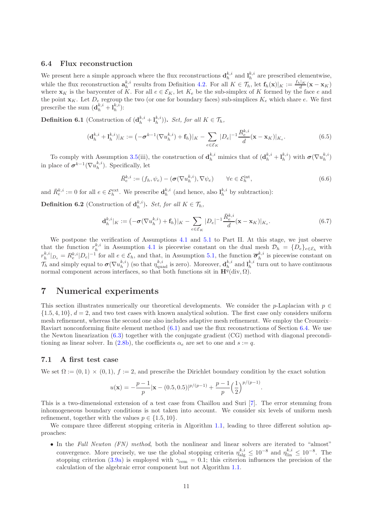#### <span id="page-10-1"></span>6.4 Flux reconstruction

We present here a simple approach where the flux reconstructions  $\mathbf{d}_h^{k,i}$  and  $\mathbf{l}_h^{k,i}$  are prescribed elementwise, while the flux reconstruction  $\mathbf{a}_h^{k,i}$  results from Definition [4.2.](#page-7-5) For all  $K \in \mathcal{T}_h$ , let  $\mathbf{f}_h(\mathbf{x})|_K := \frac{f_h|_K}{d}(\mathbf{x} - \mathbf{x}_K)$ where  $\mathbf{x}_K$  is the barycenter of K. For all  $e \in \mathcal{E}_K$ , let  $K_e$  be the sub-simplex of K formed by the face e and the point  $\mathbf{x}_K$ . Let  $D_e$  regroup the two (or one for boundary faces) sub-simplices  $K_e$  which share e. We first prescribe the sum  $(\mathbf{d}_h^{k,i} + \mathbf{l}_h^{k,i})$ :

**Definition 6.1** (Construction of  $(\mathbf{d}_h^{k,i} + \mathbf{l}_h^{k,i})$ ). Set, for all  $K \in \mathcal{T}_h$ ,

$$
(\mathbf{d}_{h}^{k,i} + \mathbf{l}_{h}^{k,i})|_{K} := \left( -\boldsymbol{\sigma}^{k-1} (\nabla u_{h}^{k,i}) + \mathbf{f}_{h} \right)|_{K} - \sum_{e \in \mathcal{E}_{K}} |D_{e}|^{-1} \frac{R_{e}^{k,i}}{d} (\mathbf{x} - \mathbf{x}_{K})|_{K_{e}}.
$$
\n(6.5)

To comply with Assumption [3.5\(](#page-6-1)iii), the construction of  $\mathbf{d}_h^{k,i}$  mimics that of  $(\mathbf{d}_h^{k,i} + \mathbf{l}_h^{k,i})$  with  $\boldsymbol{\sigma}(\nabla u_h^{k,i})$ in place of  $\boldsymbol{\sigma}^{k-1}(\nabla u_h^{k,i})$ . Specifically, let

$$
\bar{R}_{e}^{k,i} := (f_h, \psi_e) - (\boldsymbol{\sigma}(\nabla u_h^{k,i}), \nabla \psi_e) \qquad \forall e \in \mathcal{E}_h^{\text{int}}, \tag{6.6}
$$

and  $\bar{R}_{e}^{k,i} := 0$  for all  $e \in \mathcal{E}_h^{\text{ext}}$ . We prescribe  $\mathbf{d}_h^{k,i}$  (and hence, also  $\mathbf{l}_h^{k,i}$  by subtraction):

**Definition 6.2** (Construction of  $\mathbf{d}_h^{k,i}$ ). Set, for all  $K \in \mathcal{T}_h$ ,

$$
\mathbf{d}_h^{k,i}|_K := \left(-\boldsymbol{\sigma}(\nabla u_h^{k,i}) + \mathbf{f}_h\right)|_K - \sum_{e \in \mathcal{E}_K} |D_e|^{-1} \frac{\bar{R}_e^{k,i}}{d} (\mathbf{x} - \mathbf{x}_K)|_{K_e}.\tag{6.7}
$$

We postpone the verification of Assumptions [4.1](#page-7-4) and [5.1](#page-8-1) to Part II. At this stage, we just observe that the function  $r_h^{k,i}$  in Assumption [4.1](#page-7-4) is piecewise constant on the dual mesh  $\mathcal{D}_h = \{D_e\}_{e \in \mathcal{E}_h}$  with  $r_h^{k,i}|_{D_e} = R_e^{k,i}|_{e}^{-1}$  for all  $e \in \mathcal{E}_h$ , and that, in Assumption [5.1,](#page-8-1) the function  $\overline{\sigma}_h^{k,i}$  is piecewise constant on  $\mathcal{T}_h$  and simply equal to  $\boldsymbol{\sigma}(\nabla u_h^{k,i})$  (so that  $\eta_{\text{quad}}^{k,i}$  is zero). Moreover,  $\mathbf{d}_h^{k,i}$  and  $\mathbf{l}_h^{k,i}$  turn out to have continuous normal component across interfaces, so that both functions sit in  $\mathbf{H}^{q}(\text{div}, \Omega)$ .

# <span id="page-10-0"></span>7 Numerical experiments

This section illustrates numerically our theoretical developments. We consider the p-Laplacian with  $p \in \mathbb{R}$  $\{1.5, 4, 10\}, d = 2$ , and two test cases with known analytical solution. The first case only considers uniform mesh refinement, whereas the second one also includes adaptive mesh refinement. We employ the Crouzeix– Raviart nonconforming finite element method [\(6.1\)](#page-9-2) and use the flux reconstructions of Section [6.4.](#page-10-1) We use the Newton linearization [\(6.3\)](#page-9-3) together with the conjugate gradient (CG) method with diagonal precondi-tioning as linear solver. In [\(2.8b\)](#page-3-1), the coefficients  $\alpha_e$  are set to one and  $s := q$ .

#### <span id="page-10-2"></span>7.1 A first test case

We set  $\Omega := (0, 1) \times (0, 1)$ ,  $f := 2$ , and prescribe the Dirichlet boundary condition by the exact solution

$$
u(\mathbf{x}) = -\frac{p-1}{p} |\mathbf{x} - (0.5, 0.5)|^{p/(p-1)} + \frac{p-1}{p} \left(\frac{1}{2}\right)^{p/(p-1)}.
$$

This is a two-dimensional extension of a test case from Chaillou and Suri [\[7\]](#page-17-4). The error stemming from inhomogeneous boundary conditions is not taken into account. We consider six levels of uniform mesh refinement, together with the values  $p \in \{1.5, 10\}$ .

We compare three different stopping criteria in Algorithm 1.1, leading to three different solution approaches:

• In the Full Newton (FN) method, both the nonlinear and linear solvers are iterated to "almost" convergence. More precisely, we use the global stopping criteria  $\eta_{\text{alg}}^{k,i} \leq 10^{-8}$  and  $\eta_{\text{lin}}^{k,i} \leq 10^{-8}$ . The stopping criterion [\(3.9a\)](#page-6-3) is employed with  $\gamma_{\text{rem}} = 0.1$ ; this criterion influences the precision of the calculation of the algebraic error component but not Algorithm 1.1.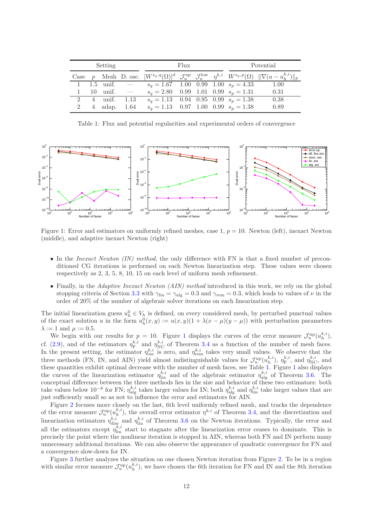| Setting |  |              |                                 | Flux                                     |  |  |  | Potential |                                                                                                                                                                   |
|---------|--|--------------|---------------------------------|------------------------------------------|--|--|--|-----------|-------------------------------------------------------------------------------------------------------------------------------------------------------------------|
|         |  |              |                                 |                                          |  |  |  |           | Case p Mesh D. osc. $[W^{s_q,q}(\Omega)]^d$ $\mathcal{J}_u^{\text{up}}$ $\mathcal{J}_u^{\text{low}}$ $\eta^{k,i}$ $W^{s_p,p}(\Omega)$ $\ \nabla(u-u_h^{k,i})\ _p$ |
|         |  |              | 1 1.5 unif. $-$                 | $s_q = 1.67$ 1.00 0.99 1.00 $s_p = 4.33$ |  |  |  |           | 1.00                                                                                                                                                              |
|         |  |              | $10 \quad \text{unif.} \quad -$ | $s_q = 2.80$ 0.99 1.01 0.99 $s_p = 1.31$ |  |  |  |           | 0.31                                                                                                                                                              |
|         |  |              | 2 4 unif. 1.13                  | $s_q = 1.13$ 0.94 0.95 0.99 $s_p = 1.38$ |  |  |  |           | 0.38                                                                                                                                                              |
| 2       |  | 4 adap. 1.64 |                                 | $s_q = 1.13$ 0.97 1.00 0.99 $s_p = 1.38$ |  |  |  |           | 0.89                                                                                                                                                              |

<span id="page-11-1"></span>Table 1: Flux and potential regularities and experimental orders of convergence



<span id="page-11-0"></span>Figure 1: Error and estimators on uniformly refined meshes, case 1,  $p = 10$ . Newton (left), inexact Newton (middle), and adaptive inexact Newton (right)

- In the *Inexact Newton (IN) method*, the only difference with FN is that a fixed number of preconditioned CG iterations is performed on each Newton linearization step. These values were chosen respectively as 2, 3, 5, 8, 10, 15 on each level of uniform mesh refinement.
- Finally, in the Adaptive Inexact Newton (AIN) method introduced in this work, we rely on the global stopping criteria of Section [3.3](#page-6-0) with  $\gamma_{\rm lin} = \gamma_{\rm alg} = 0.3$  and  $\gamma_{\rm rem} = 0.3$ , which leads to values of  $\nu$  in the order of 20% of the number of algebraic solver iterations on each linearization step.

The initial linearization guess  $u_h^0 \in V_h$  is defined, on every considered mesh, by perturbed punctual values of the exact solution u in the form  $u_h^0(x, y) := u(x, y)(1 + \lambda(x - \mu)(y - \mu))$  with perturbation parameters  $\lambda := 1$  and  $\mu := 0.5$ .

We begin with our results for  $p = 10$  $p = 10$  $p = 10$ . Figure 1 displays the curves of the error measure  $\mathcal{J}_u^{\text{up}}(u_h^{k,i}),$ cf. [\(2.9\)](#page-4-4), and of the estimators  $\eta_{\rm F}^{k,i}$  and  $\eta_{\rm NC}^{k,i}$  of Theorem [3.4](#page-5-5) as a function of the number of mesh faces. In the present setting, the estimator  $\eta_{\rm osc}^{k,i}$  is zero, and  $\eta_{\rm rem}^{k,i}$  takes very small values. We observe that the three methods (FN, IN, and AIN) yield almost indistinguishable values for  $\mathcal{J}_u^{\text{up}}(u_h^{k,i}), \eta_F^{k,i}$ , and  $\eta_{\text{NC}}^{k,i}$ , and these quantities exhibit optimal decrease with the number of mesh faces, see Table [1.](#page-11-1) Figure [1](#page-11-0) also displays the curves of the linearization estimator  $\eta_{\text{lin}}^{k,i}$  and of the algebraic estimator  $\eta_{\text{alg}}^{k,i}$  of Theorem [3.6.](#page-6-5) The conceptual difference between the three methods lies in the size and behavior of these two estimators: both take values below 10<sup>-8</sup> for FN;  $\eta_{\text{alg}}^{k,i}$  takes larger values for IN; both  $\eta_{\text{alg}}^{k,i}$  and  $\eta_{\text{lin}}^{k,i}$  take larger values that are just sufficiently small so as not to influence the error and estimators for AIN.

Figure [2](#page-12-0) focuses more closely on the last, 6th level uniformly refined mesh, and tracks the dependence of the error measure  $\mathcal{J}_u^{\text{up}}(u_h^{k,i})$ , the overall error estimator  $\eta^{k,i}$  of Theorem [3.4,](#page-5-5) and the discretization and linearization estimators  $\eta_{\text{disc}}^{k,i}$  and  $\eta_{\text{lin}}^{k,i}$  of Theorem [3.6](#page-6-5) on the Newton iterations. Typically, the error and all the estimators except  $\eta_{\text{lin}}^{k,i}$  start to stagnate after the linearization error ceases to dominate. This is precisely the point where the nonlinear iteration is stopped in AIN, whereas both FN and IN perform many unnecessary additional iterations. We can also observe the appearance of quadratic convergence for FN and a convergence slow-down for IN.

Figure [3](#page-12-1) further analyzes the situation on one chosen Newton iteration from Figure [2.](#page-12-0) To be in a region with similar error measure  $\mathcal{J}_u^{\text{up}}(u_h^{k,i})$ , we have chosen the 6th iteration for FN and IN and the 8th iteration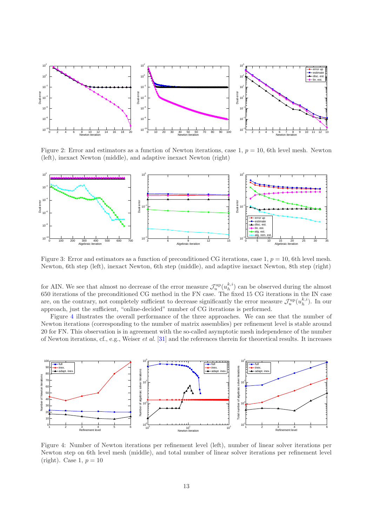

<span id="page-12-0"></span>Figure 2: Error and estimators as a function of Newton iterations, case 1,  $p = 10$ , 6th level mesh. Newton (left), inexact Newton (middle), and adaptive inexact Newton (right)



<span id="page-12-1"></span>Figure 3: Error and estimators as a function of preconditioned CG iterations, case 1,  $p = 10$ , 6th level mesh. Newton, 6th step (left), inexact Newton, 6th step (middle), and adaptive inexact Newton, 8th step (right)

for AIN. We see that almost no decrease of the error measure  $\mathcal{J}_u^{\text{up}}(u_h^{k,i})$  can be observed during the almost 650 iterations of the preconditioned CG method in the FN case. The fixed 15 CG iterations in the IN case are, on the contrary, not completely sufficient to decrease significantly the error measure  $\mathcal{J}_u^{\text{up}}(u_h^{k,i})$ . In our approach, just the sufficient, "online-decided" number of CG iterations is performed.

Figure [4](#page-12-2) illustrates the overall performance of the three approaches. We can see that the number of Newton iterations (corresponding to the number of matrix assemblies) per refinement level is stable around 20 for FN. This observation is in agreement with the so-called asymptotic mesh independence of the number of Newton iterations, cf., e.g., Weiser et al. [\[31\]](#page-19-4) and the references therein for theoretical results. It increases



<span id="page-12-2"></span>Figure 4: Number of Newton iterations per refinement level (left), number of linear solver iterations per Newton step on 6th level mesh (middle), and total number of linear solver iterations per refinement level (right). Case 1,  $p = 10$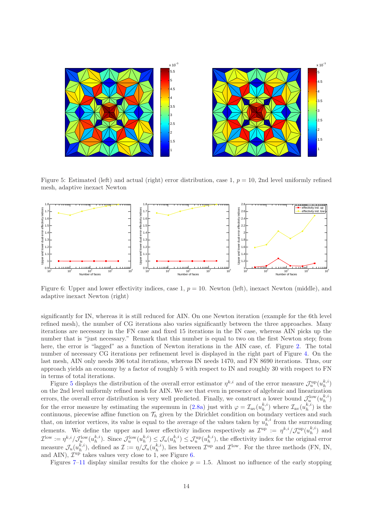

<span id="page-13-0"></span>Figure 5: Estimated (left) and actual (right) error distribution, case 1,  $p = 10$ , 2nd level uniformly refined mesh, adaptive inexact Newton



<span id="page-13-1"></span>Figure 6: Upper and lower effectivity indices, case 1,  $p = 10$ . Newton (left), inexact Newton (middle), and adaptive inexact Newton (right)

significantly for IN, whereas it is still reduced for AIN. On one Newton iteration (example for the 6th level refined mesh), the number of CG iterations also varies significantly between the three approaches. Many iterations are necessary in the FN case and fixed 15 iterations in the IN case, whereas AIN picks up the number that is "just necessary." Remark that this number is equal to two on the first Newton step; from here, the error is "lagged" as a function of Newton iterations in the AIN case, cf. Figure [2.](#page-12-0) The total number of necessary CG iterations per refinement level is displayed in the right part of Figure [4.](#page-12-2) On the last mesh, AIN only needs 306 total iterations, whereas IN needs 1470, and FN 8690 iterations. Thus, our approach yields an economy by a factor of roughly 5 with respect to IN and roughly 30 with respect to FN in terms of total iterations.

Figure [5](#page-13-0) displays the distribution of the overall error estimator  $\eta^{k,i}$  and of the error measure  $\mathcal{J}_u^{\text{up}}(u_h^{k,i})$ on the 2nd level uniformly refined mesh for AIN. We see that even in presence of algebraic and linearization errors, the overall error distribution is very well predicted. Finally, we construct a lower bound  $\mathcal{J}_u^{\text{low}}(u_h^{k,i})$ for the error measure by estimating the supremum in [\(2.8a\)](#page-3-2) just with  $\varphi = \mathcal{I}_{av}(u_h^{k,i})$  where  $\mathcal{I}_{av}(u_h^{k,i})$  is the continuous, piecewise affine function on  $\mathcal{T}_h$  given by the Dirichlet condition on boundary vertices and such that, on interior vertices, its value is equal to the average of the values taken by  $u_h^{k,i}$  from the surrounding h elements. We define the upper and lower effectivity indices respectively as  $\mathcal{I}^{\text{up}} := \eta^{k,i}/\mathcal{J}^{\text{up}}_u(u_h^{k,i})$  and  $\mathcal{I}^{\text{low}} := \eta^{k,i}/\mathcal{J}^{\text{low}}_u(u_h^{k,i})$ . Since  $\mathcal{J}^{\text{low}}_u(u_h^{k,i}) \leq \mathcal{J}_u(u_h^{k,i}) \leq \mathcal{J}^{\text{up}}_u(u_h^{k,i})$ , the effectivity index for the original error measure  $\mathcal{J}_u(u_h^{k,i})$ , defined as  $\mathcal{I} := \eta/\mathcal{J}_u(u_h^{k,i})$ , lies between  $\mathcal{I}^{\text{up}}$  and  $\mathcal{I}^{\text{low}}$ . For the three methods (FN, IN, and AIN),  $\mathcal{I}^{\text{up}}$  takes values very close to 1, see Figure [6.](#page-13-1)

Figures [7–](#page-14-0)[11](#page-15-0) display similar results for the choice  $p = 1.5$ . Almost no influence of the early stopping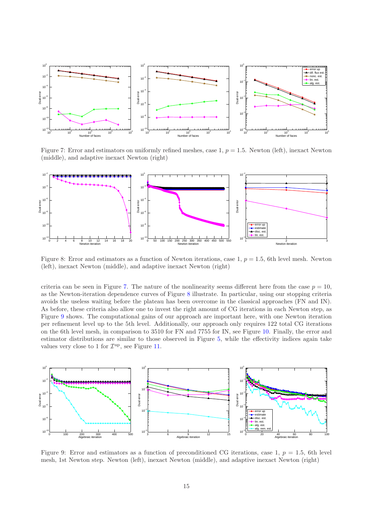

<span id="page-14-0"></span>Figure 7: Error and estimators on uniformly refined meshes, case 1,  $p = 1.5$ . Newton (left), inexact Newton (middle), and adaptive inexact Newton (right)



<span id="page-14-1"></span>Figure 8: Error and estimators as a function of Newton iterations, case 1,  $p = 1.5$ , 6th level mesh. Newton (left), inexact Newton (middle), and adaptive inexact Newton (right)

criteria can be seen in Figure [7.](#page-14-0) The nature of the nonlinearity seems different here from the case  $p = 10$ , as the Newton-iteration dependence curves of Figure [8](#page-14-1) illustrate. In particular, using our stopping criteria avoids the useless waiting before the plateau has been overcome in the classical approaches (FN and IN). As before, these criteria also allow one to invest the right amount of CG iterations in each Newton step, as Figure [9](#page-14-2) shows. The computational gains of our approach are important here, with one Newton iteration per refinement level up to the 5th level. Additionally, our approach only requires 122 total CG iterations on the 6th level mesh, in comparison to 3510 for FN and 7755 for IN, see Figure [10.](#page-15-1) Finally, the error and estimator distributions are similar to those observed in Figure [5,](#page-13-0) while the effectivity indices again take values very close to 1 for  $\mathcal{I}^{\text{up}}$ , see Figure [11.](#page-15-0)



<span id="page-14-2"></span>Figure 9: Error and estimators as a function of preconditioned CG iterations, case 1,  $p = 1.5$ , 6th level mesh, 1st Newton step. Newton (left), inexact Newton (middle), and adaptive inexact Newton (right)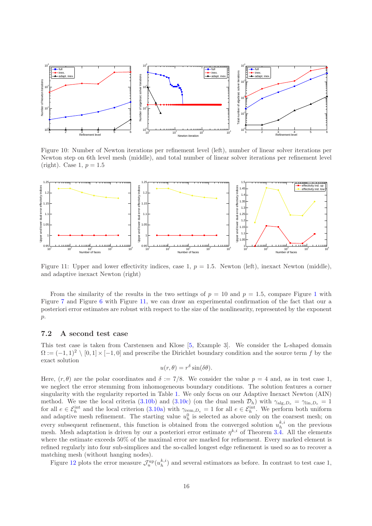

<span id="page-15-1"></span>Figure 10: Number of Newton iterations per refinement level (left), number of linear solver iterations per Newton step on 6th level mesh (middle), and total number of linear solver iterations per refinement level (right). Case 1,  $p = 1.5$ 



<span id="page-15-0"></span>Figure 11: Upper and lower effectivity indices, case 1,  $p = 1.5$ . Newton (left), inexact Newton (middle), and adaptive inexact Newton (right)

From the similarity of the results in the two settings of  $p = 10$  $p = 10$  $p = 10$  and  $p = 1.5$ , compare Figure 1 with Figure [7](#page-14-0) and Figure [6](#page-13-1) with Figure [11,](#page-15-0) we can draw an experimental confirmation of the fact that our a posteriori error estimates are robust with respect to the size of the nonlinearity, represented by the exponent  $\mathfrak{p}.$ 

#### 7.2 A second test case

This test case is taken from Carstensen and Klose [\[5,](#page-17-6) Example 3]. We consider the L-shaped domain  $\Omega := (-1,1)^2 \setminus [0,1] \times [-1,0]$  and prescribe the Dirichlet boundary condition and the source term f by the exact solution

$$
u(r,\theta) = r^{\delta} \sin(\delta\theta).
$$

Here,  $(r, \theta)$  are the polar coordinates and  $\delta := 7/8$ . We consider the value  $p = 4$  and, as in test case 1, we neglect the error stemming from inhomogeneous boundary conditions. The solution features a corner singularity with the regularity reported in Table [1.](#page-11-1) We only focus on our Adaptive Inexact Newton (AIN) method. We use the local criteria [\(3.10b\)](#page-7-7) and [\(3.10c\)](#page-7-8) (on the dual mesh  $\mathcal{D}_h$ ) with  $\gamma_{\text{alg},D_e} = \gamma_{\text{lin},D_e} = 1$ for all  $e \in \mathcal{E}_h^{\text{int}}$  and the local criterion [\(3.10a\)](#page-7-2) with  $\gamma_{\text{rem},D_e} = 1$  for all  $e \in \mathcal{E}_h^{\text{int}}$ . We perform both uniform and adaptive mesh refinement. The starting value  $u_h^0$  is selected as above only on the coarsest mesh; on every subsequent refinement, this function is obtained from the converged solution  $u_h^{k,i}$  on the previous mesh. Mesh adaptation is driven by our a posteriori error estimate  $\eta^{k,i}$  of Theorem [3.4.](#page-5-5) All the elements where the estimate exceeds 50% of the maximal error are marked for refinement. Every marked element is refined regularly into four sub-simplices and the so-called longest edge refinement is used so as to recover a matching mesh (without hanging nodes).

Figure [12](#page-16-0) plots the error measure  $\mathcal{J}_u^{\text{up}}(u_h^{k,i})$  and several estimators as before. In contrast to test case 1,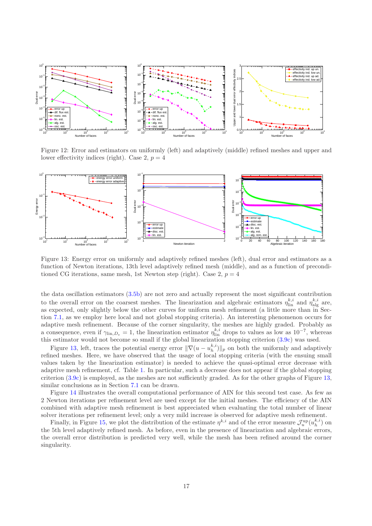

<span id="page-16-0"></span>Figure 12: Error and estimators on uniformly (left) and adaptively (middle) refined meshes and upper and lower effectivity indices (right). Case 2,  $p = 4$ 



<span id="page-16-1"></span>Figure 13: Energy error on uniformly and adaptively refined meshes (left), dual error and estimators as a function of Newton iterations, 13th level adaptively refined mesh (middle), and as a function of preconditioned CG iterations, same mesh, 1st Newton step (right). Case 2,  $p = 4$ 

the data oscillation estimators [\(3.5b\)](#page-5-4) are not zero and actually represent the most significant contribution to the overall error on the coarsest meshes. The linearization and algebraic estimators  $\eta_{\text{lin}}^{k,i}$  and  $\eta_{\text{alg}}^{k,i}$  are, as expected, only slightly below the other curves for uniform mesh refinement (a little more than in Section [7.1,](#page-10-2) as we employ here local and not global stopping criteria). An interesting phenomenon occurs for adaptive mesh refinement. Because of the corner singularity, the meshes are highly graded. Probably as a consequence, even if  $\gamma_{\text{lin},D_e} = 1$ , the linearization estimator  $\eta_{\text{lin}}^{k,i}$  drops to values as low as  $10^{-7}$ , whereas this estimator would not become so small if the global linearization stopping criterion [\(3.9c\)](#page-6-6) was used.

Figure [13,](#page-16-1) left, traces the potential energy error  $\|\nabla(u - u_h^{k,i})\|_p$  on both the uniformly and adaptively refined meshes. Here, we have observed that the usage of local stopping criteria (with the ensuing small values taken by the linearization estimator) is needed to achieve the quasi-optimal error decrease with adaptive mesh refinement, cf. Table [1.](#page-11-1) In particular, such a decrease does not appear if the global stopping criterion [\(3.9c\)](#page-6-6) is employed, as the meshes are not sufficiently graded. As for the other graphs of Figure [13,](#page-16-1) similar conclusions as in Section [7.1](#page-10-2) can be drawn.

Figure [14](#page-17-7) illustrates the overall computational performance of AIN for this second test case. As few as 2 Newton iterations per refinement level are used except for the initial meshes. The efficiency of the AIN combined with adaptive mesh refinement is best appreciated when evaluating the total number of linear solver iterations per refinement level; only a very mild increase is observed for adaptive mesh refinement.

Finally, in Figure [15,](#page-17-8) we plot the distribution of the estimate  $\eta^{k,i}$  and of the error measure  $\mathcal{J}_u^{\text{up}}(u_h^{k,i})$  on the 5th level adaptively refined mesh. As before, even in the presence of linearization and algebraic errors, the overall error distribution is predicted very well, while the mesh has been refined around the corner singularity.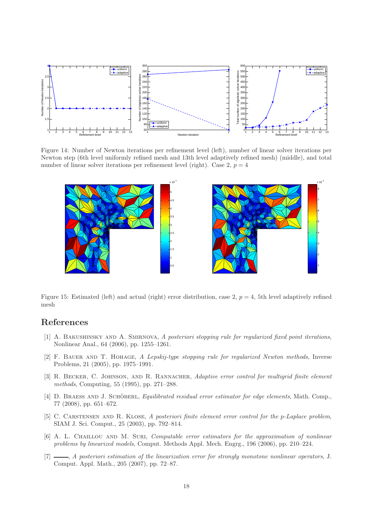

Figure 14: Number of Newton iterations per refinement level (left), number of linear solver iterations per Newton step (6th level uniformly refined mesh and 13th level adaptively refined mesh) (middle), and total number of linear solver iterations per refinement level (right). Case 2,  $p = 4$ 

<span id="page-17-7"></span>

<span id="page-17-8"></span>Figure 15: Estimated (left) and actual (right) error distribution, case 2,  $p = 4$ , 5th level adaptively refined mesh

# <span id="page-17-1"></span>References

- [1] A. BAKUSHINSKY AND A. SMIRNOVA, A posteriori stopping rule for regularized fixed point iterations, Nonlinear Anal., 64 (2006), pp. 1255–1261.
- <span id="page-17-0"></span>[2] F. BAUER AND T. HOHAGE, A Lepskij-type stopping rule for regularized Newton methods, Inverse Problems, 21 (2005), pp. 1975–1991.
- <span id="page-17-2"></span>[3] R. BECKER, C. JOHNSON, AND R. RANNACHER, Adaptive error control for multigrid finite element methods, Computing, 55 (1995), pp. 271–288.
- <span id="page-17-5"></span>[4] D. BRAESS AND J. SCHÖBERL, *Equilibrated residual error estimator for edge elements*, Math. Comp., 77 (2008), pp. 651–672.
- <span id="page-17-6"></span>[5] C. CARSTENSEN AND R. KLOSE, A posteriori finite element error control for the p-Laplace problem, SIAM J. Sci. Comput., 25 (2003), pp. 792–814.
- <span id="page-17-3"></span>[6] A. L. CHAILLOU AND M. SURI, *Computable error estimators for the approximation of nonlinear* problems by linearized models, Comput. Methods Appl. Mech. Engrg., 196 (2006), pp. 210–224.
- <span id="page-17-4"></span>[7]  $\Box$ , A posteriori estimation of the linearization error for strongly monotone nonlinear operators, J. Comput. Appl. Math., 205 (2007), pp. 72–87.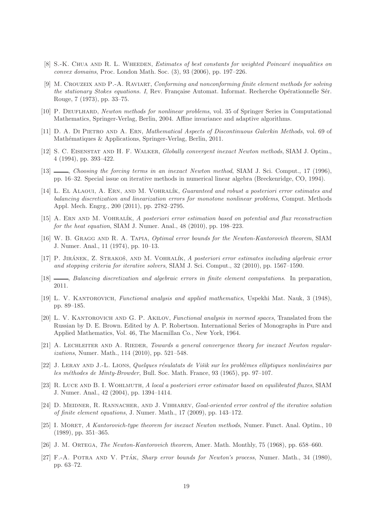- <span id="page-18-18"></span>[8] S.-K. CHUA AND R. L. WHEEDEN, *Estimates of best constants for weighted Poincaré inequalities on* convex domains, Proc. London Math. Soc. (3), 93 (2006), pp. 197–226.
- <span id="page-18-19"></span>[9] M. Crouzeix and P.-A. Raviart, Conforming and nonconforming finite element methods for solving the stationary Stokes equations. I, Rev. Française Automat. Informat. Recherche Opérationnelle Sér. Rouge, 7 (1973), pp. 33–75.
- <span id="page-18-14"></span><span id="page-18-8"></span>[10] P. DEUFLHARD, Newton methods for nonlinear problems, vol. 35 of Springer Series in Computational Mathematics, Springer-Verlag, Berlin, 2004. Affine invariance and adaptive algorithms.
- <span id="page-18-5"></span>[11] D. A. Di Pietro and A. Ern, Mathematical Aspects of Discontinuous Galerkin Methods, vol. 69 of Mathématiques & Applications, Springer-Verlag, Berlin, 2011.
- [12] S. C. Eisenstat and H. F. Walker, Globally convergent inexact Newton methods, SIAM J. Optim., 4 (1994), pp. 393–422.
- <span id="page-18-6"></span>[13] , Choosing the forcing terms in an inexact Newton method, SIAM J. Sci. Comput., 17 (1996), pp. 16–32. Special issue on iterative methods in numerical linear algebra (Breckenridge, CO, 1994).
- <span id="page-18-11"></span>[14] L. EL ALAOUI, A. ERN, AND M. VOHRALÍK, Guaranteed and robust a posteriori error estimates and balancing discretization and linearization errors for monotone nonlinear problems, Comput. Methods Appl. Mech. Engrg., 200 (2011), pp. 2782–2795.
- <span id="page-18-16"></span>[15] A. Ern and M. Vohral´ık, A posteriori error estimation based on potential and flux reconstruction for the heat equation, SIAM J. Numer. Anal., 48 (2010), pp. 198–223.
- <span id="page-18-3"></span>[16] W. B. Gragg and R. A. Tapia, Optimal error bounds for the Newton-Kantorovich theorem, SIAM J. Numer. Anal., 11 (1974), pp. 10–13.
- <span id="page-18-10"></span>[17] P. JIRÁNEK, Z. STRAKOŠ, AND M. VOHRALÍK, A posteriori error estimates including algebraic error and stopping criteria for iterative solvers, SIAM J. Sci. Comput., 32 (2010), pp. 1567–1590.
- <span id="page-18-17"></span><span id="page-18-0"></span>[18] , Balancing discretization and algebraic errors in finite element computations. In preparation, 2011.
- [19] L. V. KANTOROVICH, Functional analysis and applied mathematics, Uspekhi Mat. Nauk, 3 (1948), pp. 89–185.
- <span id="page-18-1"></span>[20] L. V. KANTOROVICH AND G. P. AKILOV, Functional analysis in normed spaces, Translated from the Russian by D. E. Brown. Edited by A. P. Robertson. International Series of Monographs in Pure and Applied Mathematics, Vol. 46, The Macmillan Co., New York, 1964.
- <span id="page-18-9"></span>[21] A. LECHLEITER AND A. RIEDER, Towards a general convergence theory for inexact Newton regularizations, Numer. Math., 114 (2010), pp. 521–548.
- <span id="page-18-13"></span>[22] J. LERAY AND J.-L. LIONS, Quelques résulatats de Višik sur les problèmes elliptiques nonlinéaires par les méthodes de Minty-Browder, Bull. Soc. Math. France, 93 (1965), pp. 97–107.
- <span id="page-18-15"></span>[23] R. Luce and B. I. Wohlmuth, A local a posteriori error estimator based on equilibrated fluxes, SIAM J. Numer. Anal., 42 (2004), pp. 1394–1414.
- <span id="page-18-12"></span>[24] D. MEIDNER, R. RANNACHER, AND J. VIHHAREV, Goal-oriented error control of the iterative solution of finite element equations, J. Numer. Math., 17 (2009), pp. 143–172.
- <span id="page-18-7"></span>[25] I. MORET, A Kantorovich-type theorem for inexact Newton methods, Numer. Funct. Anal. Optim., 10 (1989), pp. 351–365.
- <span id="page-18-4"></span><span id="page-18-2"></span>[26] J. M. Ortega, The Newton-Kantorovich theorem, Amer. Math. Monthly, 75 (1968), pp. 658–660.
- [27] F.-A. POTRA AND V. PTÁK, Sharp error bounds for Newton's process, Numer. Math., 34 (1980), pp. 63–72.